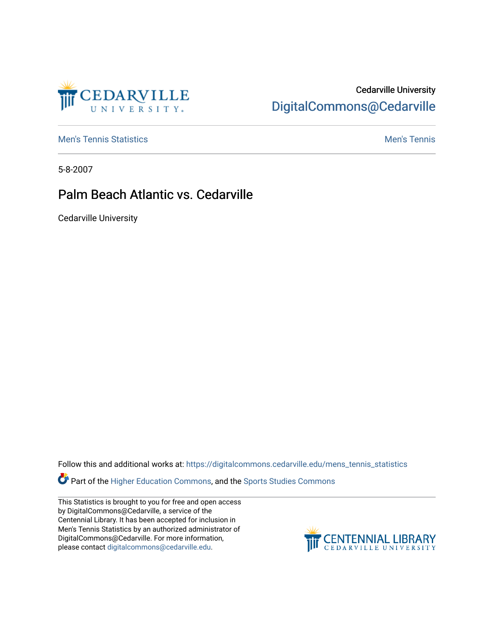

## Cedarville University [DigitalCommons@Cedarville](https://digitalcommons.cedarville.edu/)

**[Men's Tennis Statistics](https://digitalcommons.cedarville.edu/mens_tennis_statistics) Mental According to the Control of Control According Mental Men's Tennis** 

5-8-2007

## Palm Beach Atlantic vs. Cedarville

Cedarville University

Follow this and additional works at: [https://digitalcommons.cedarville.edu/mens\\_tennis\\_statistics](https://digitalcommons.cedarville.edu/mens_tennis_statistics?utm_source=digitalcommons.cedarville.edu%2Fmens_tennis_statistics%2F698&utm_medium=PDF&utm_campaign=PDFCoverPages)

**Part of the [Higher Education Commons,](http://network.bepress.com/hgg/discipline/1245?utm_source=digitalcommons.cedarville.edu%2Fmens_tennis_statistics%2F698&utm_medium=PDF&utm_campaign=PDFCoverPages) and the Sports Studies Commons** 

This Statistics is brought to you for free and open access by DigitalCommons@Cedarville, a service of the Centennial Library. It has been accepted for inclusion in Men's Tennis Statistics by an authorized administrator of DigitalCommons@Cedarville. For more information, please contact [digitalcommons@cedarville.edu](mailto:digitalcommons@cedarville.edu).